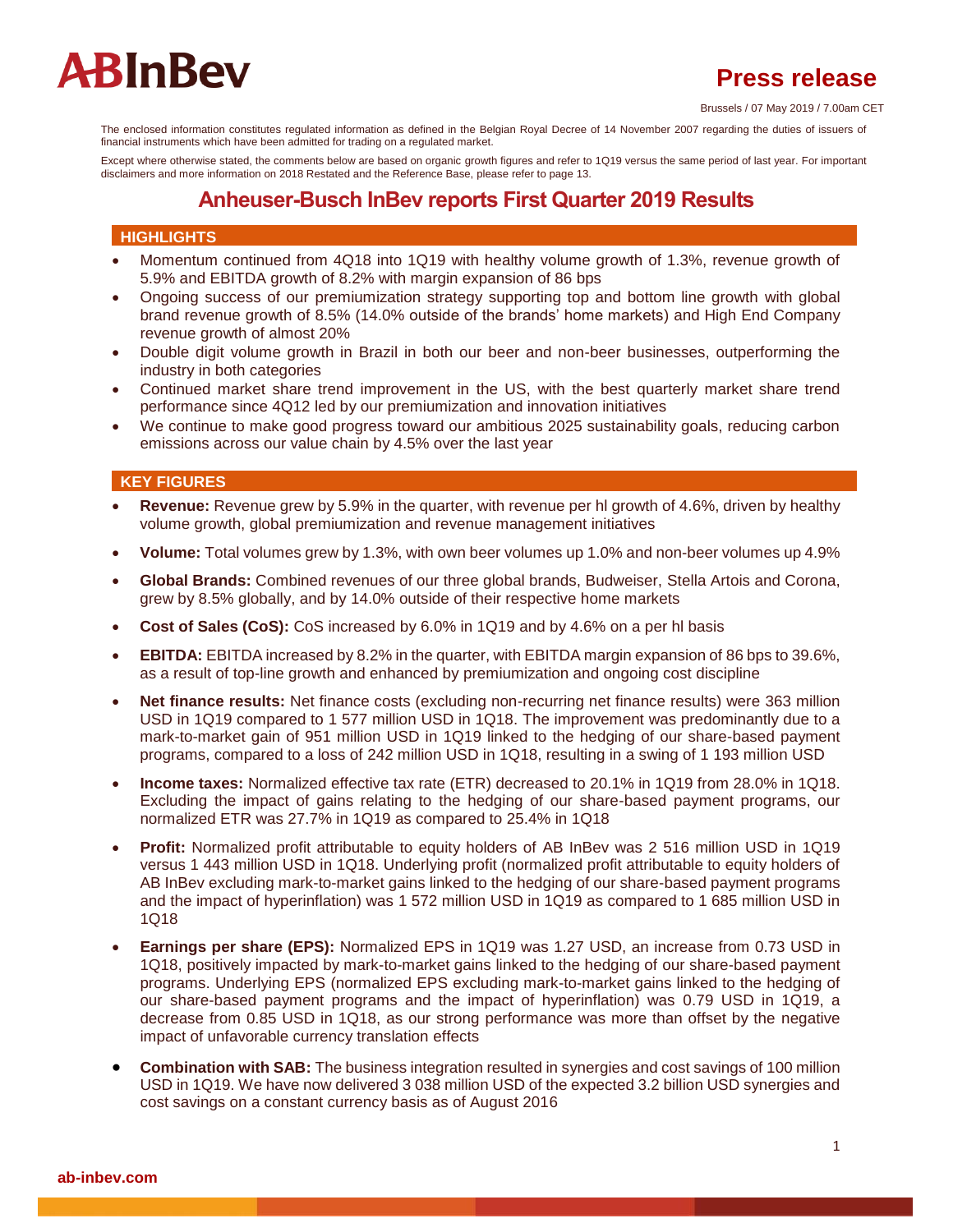## **Press release**

Brussels / 07 May 2019 / 7.00am CET

The enclosed information constitutes regulated information as defined in the Belgian Royal Decree of 14 November 2007 regarding the duties of issuers of financial instruments which have been admitted for trading on a regulated market.

Except where otherwise stated, the comments below are based on organic growth figures and refer to 1Q19 versus the same period of last year. For important disclaimers and more information on 2018 Restated and the Reference Base, please refer to page 13.

## **Anheuser-Busch InBev reports First Quarter 2019 Results**

#### **HIGHLIGHTS**

- Momentum continued from 4Q18 into 1Q19 with healthy volume growth of 1.3%, revenue growth of 5.9% and EBITDA growth of 8.2% with margin expansion of 86 bps
- Ongoing success of our premiumization strategy supporting top and bottom line growth with global brand revenue growth of 8.5% (14.0% outside of the brands' home markets) and High End Company revenue growth of almost 20%
- Double digit volume growth in Brazil in both our beer and non-beer businesses, outperforming the industry in both categories
- Continued market share trend improvement in the US, with the best quarterly market share trend performance since 4Q12 led by our premiumization and innovation initiatives
- We continue to make good progress toward our ambitious 2025 sustainability goals, reducing carbon emissions across our value chain by 4.5% over the last year

### **KEY FIGURES**

- **Revenue:** Revenue grew by 5.9% in the quarter, with revenue per hl growth of 4.6%, driven by healthy volume growth, global premiumization and revenue management initiatives
- **Volume:** Total volumes grew by 1.3%, with own beer volumes up 1.0% and non-beer volumes up 4.9%
- **Global Brands:** Combined revenues of our three global brands, Budweiser, Stella Artois and Corona, grew by 8.5% globally, and by 14.0% outside of their respective home markets
- **Cost of Sales (CoS):** CoS increased by 6.0% in 1Q19 and by 4.6% on a per hl basis
- **EBITDA:** EBITDA increased by 8.2% in the quarter, with EBITDA margin expansion of 86 bps to 39.6%, as a result of top-line growth and enhanced by premiumization and ongoing cost discipline
- **Net finance results:** Net finance costs (excluding non-recurring net finance results) were 363 million USD in 1Q19 compared to 1 577 million USD in 1Q18. The improvement was predominantly due to a mark-to-market gain of 951 million USD in 1Q19 linked to the hedging of our share-based payment programs, compared to a loss of 242 million USD in 1Q18, resulting in a swing of 1 193 million USD
- **Income taxes:** Normalized effective tax rate (ETR) decreased to 20.1% in 1Q19 from 28.0% in 1Q18. Excluding the impact of gains relating to the hedging of our share-based payment programs, our normalized ETR was 27.7% in 1Q19 as compared to 25.4% in 1Q18
- **Profit:** Normalized profit attributable to equity holders of AB InBev was 2 516 million USD in 1Q19 versus 1 443 million USD in 1Q18. Underlying profit (normalized profit attributable to equity holders of AB InBev excluding mark-to-market gains linked to the hedging of our share-based payment programs and the impact of hyperinflation) was 1 572 million USD in 1Q19 as compared to 1 685 million USD in 1Q18
- **Earnings per share (EPS):** Normalized EPS in 1Q19 was 1.27 USD, an increase from 0.73 USD in 1Q18, positively impacted by mark-to-market gains linked to the hedging of our share-based payment programs. Underlying EPS (normalized EPS excluding mark-to-market gains linked to the hedging of our share-based payment programs and the impact of hyperinflation) was 0.79 USD in 1Q19, a decrease from 0.85 USD in 1Q18, as our strong performance was more than offset by the negative impact of unfavorable currency translation effects
- **Combination with SAB:** The business integration resulted in synergies and cost savings of 100 million USD in 1Q19. We have now delivered 3 038 million USD of the expected 3.2 billion USD synergies and cost savings on a constant currency basis as of August 2016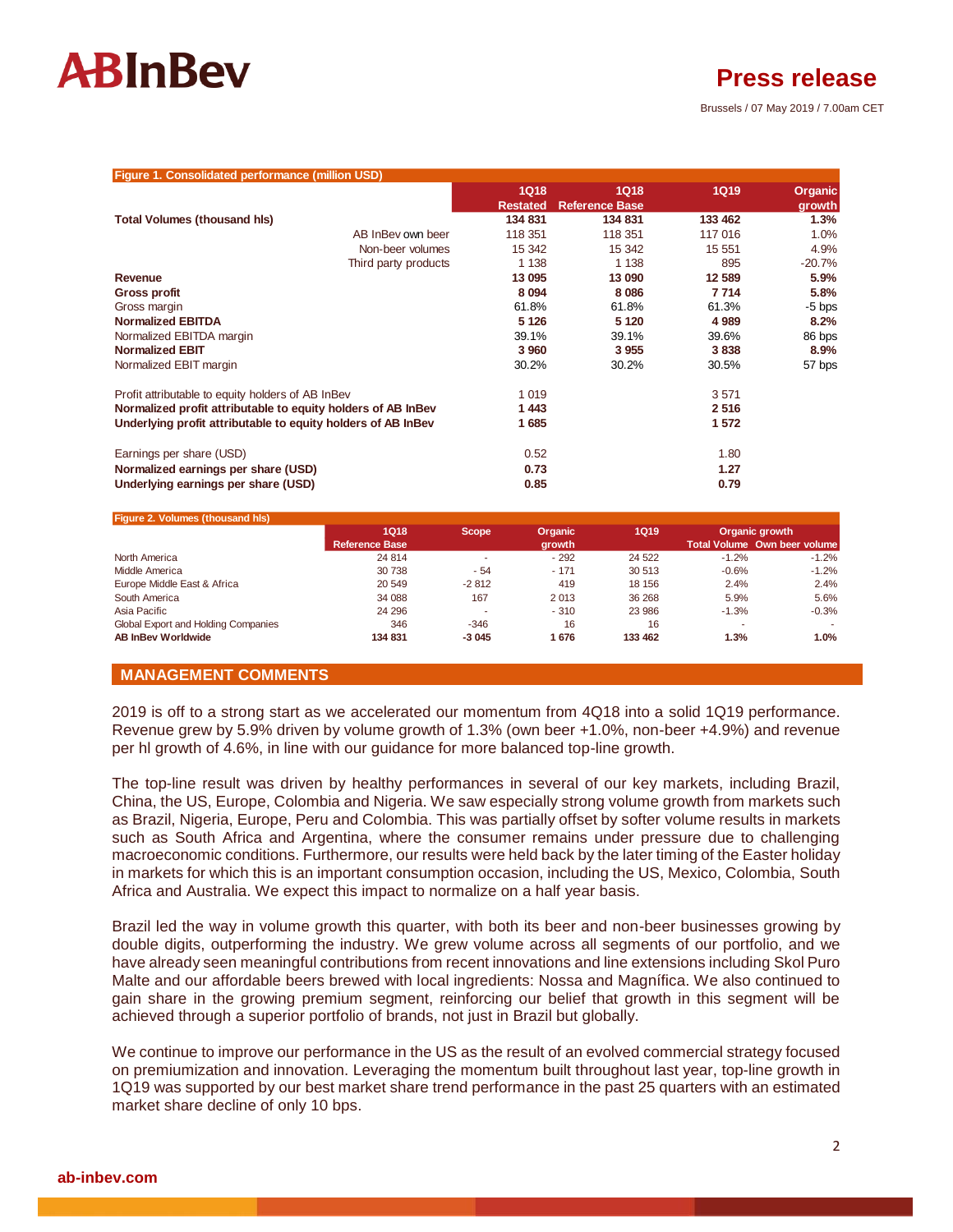

**Press release**

Brussels / 07 May 2019 / 7.00am CET

| Figure 1. Consolidated performance (million USD)             |                 |                       |             |          |
|--------------------------------------------------------------|-----------------|-----------------------|-------------|----------|
|                                                              | <b>1Q18</b>     | <b>1Q18</b>           | <b>1Q19</b> | Organic  |
|                                                              | <b>Restated</b> | <b>Reference Base</b> |             | growth   |
| <b>Total Volumes (thousand his)</b>                          | 134 831         | 134 831               | 133 462     | 1.3%     |
| AB InBey own beer                                            | 118 351         | 118 351               | 117 016     | 1.0%     |
| Non-beer volumes                                             | 15 342          | 15 342                | 15 551      | 4.9%     |
| Third party products                                         | 1 1 3 8         | 1 1 3 8               | 895         | $-20.7%$ |
| Revenue                                                      | 13 095          | 13 090                | 12 589      | 5.9%     |
| <b>Gross profit</b>                                          | 8 0 9 4         | 8 0 8 6               | 7714        | 5.8%     |
| Gross margin                                                 | 61.8%           | 61.8%                 | 61.3%       | $-5$ bps |
| <b>Normalized EBITDA</b>                                     | 5 1 2 6         | 5 1 2 0               | 4 9 8 9     | 8.2%     |
| Normalized EBITDA margin                                     | 39.1%           | 39.1%                 | 39.6%       | 86 bps   |
| <b>Normalized EBIT</b>                                       | 3 9 6 0         | 3 9 5 5               | 3838        | 8.9%     |
| Normalized EBIT margin                                       | 30.2%           | 30.2%                 | 30.5%       | 57 bps   |
| Profit attributable to equity holders of AB InBev            | 1 0 1 9         |                       | 3571        |          |
| Normalized profit attributable to equity holders of AB InBev | 1443            |                       | 2516        |          |
| Underlying profit attributable to equity holders of AB InBev | 1685            |                       | 1 572       |          |
| Earnings per share (USD)                                     | 0.52            |                       | 1.80        |          |
| Normalized earnings per share (USD)                          | 0.73            |                       | 1.27        |          |
| Underlying earnings per share (USD)                          | 0.85            |                       | 0.79        |          |

### **Figure 2. Volumes (thousand hls)**

|                                     | <b>1Q18</b>           | <b>Scope</b> | <b>Organic</b> | 1Q19    |         | Organic growth               |
|-------------------------------------|-----------------------|--------------|----------------|---------|---------|------------------------------|
|                                     | <b>Reference Base</b> |              | growth         |         |         | Total Volume Own beer volume |
| North America                       | 24 8 14               |              | $-292$         | 24 5 22 | $-1.2%$ | $-1.2%$                      |
| Middle America                      | 30 738                | - 54         | $-171$         | 30 513  | $-0.6%$ | $-1.2%$                      |
| Europe Middle East & Africa         | 20 549                | $-2812$      | 419            | 18 15 6 | 2.4%    | 2.4%                         |
| South America                       | 34 088                | 167          | 2013           | 36 268  | 5.9%    | 5.6%                         |
| Asia Pacific                        | 24 29 6               |              | $-310$         | 23 986  | $-1.3%$ | $-0.3%$                      |
| Global Export and Holding Companies | 346                   | $-346$       | 16             | 16      |         |                              |
| <b>AB InBev Worldwide</b>           | 134 831               | $-3045$      | 1676           | 133 462 | 1.3%    | 1.0%                         |

### **MANAGEMENT COMMENTS**

2019 is off to a strong start as we accelerated our momentum from 4Q18 into a solid 1Q19 performance. Revenue grew by 5.9% driven by volume growth of 1.3% (own beer +1.0%, non-beer +4.9%) and revenue per hl growth of 4.6%, in line with our guidance for more balanced top-line growth.

The top-line result was driven by healthy performances in several of our key markets, including Brazil, China, the US, Europe, Colombia and Nigeria. We saw especially strong volume growth from markets such as Brazil, Nigeria, Europe, Peru and Colombia. This was partially offset by softer volume results in markets such as South Africa and Argentina, where the consumer remains under pressure due to challenging macroeconomic conditions. Furthermore, our results were held back by the later timing of the Easter holiday in markets for which this is an important consumption occasion, including the US, Mexico, Colombia, South Africa and Australia. We expect this impact to normalize on a half year basis.

Brazil led the way in volume growth this quarter, with both its beer and non-beer businesses growing by double digits, outperforming the industry. We grew volume across all segments of our portfolio, and we have already seen meaningful contributions from recent innovations and line extensions including Skol Puro Malte and our affordable beers brewed with local ingredients: Nossa and Magnífica. We also continued to gain share in the growing premium segment, reinforcing our belief that growth in this segment will be achieved through a superior portfolio of brands, not just in Brazil but globally.

We continue to improve our performance in the US as the result of an evolved commercial strategy focused on premiumization and innovation. Leveraging the momentum built throughout last year, top-line growth in 1Q19 was supported by our best market share trend performance in the past 25 quarters with an estimated market share decline of only 10 bps.

#### **ab-inbev.com**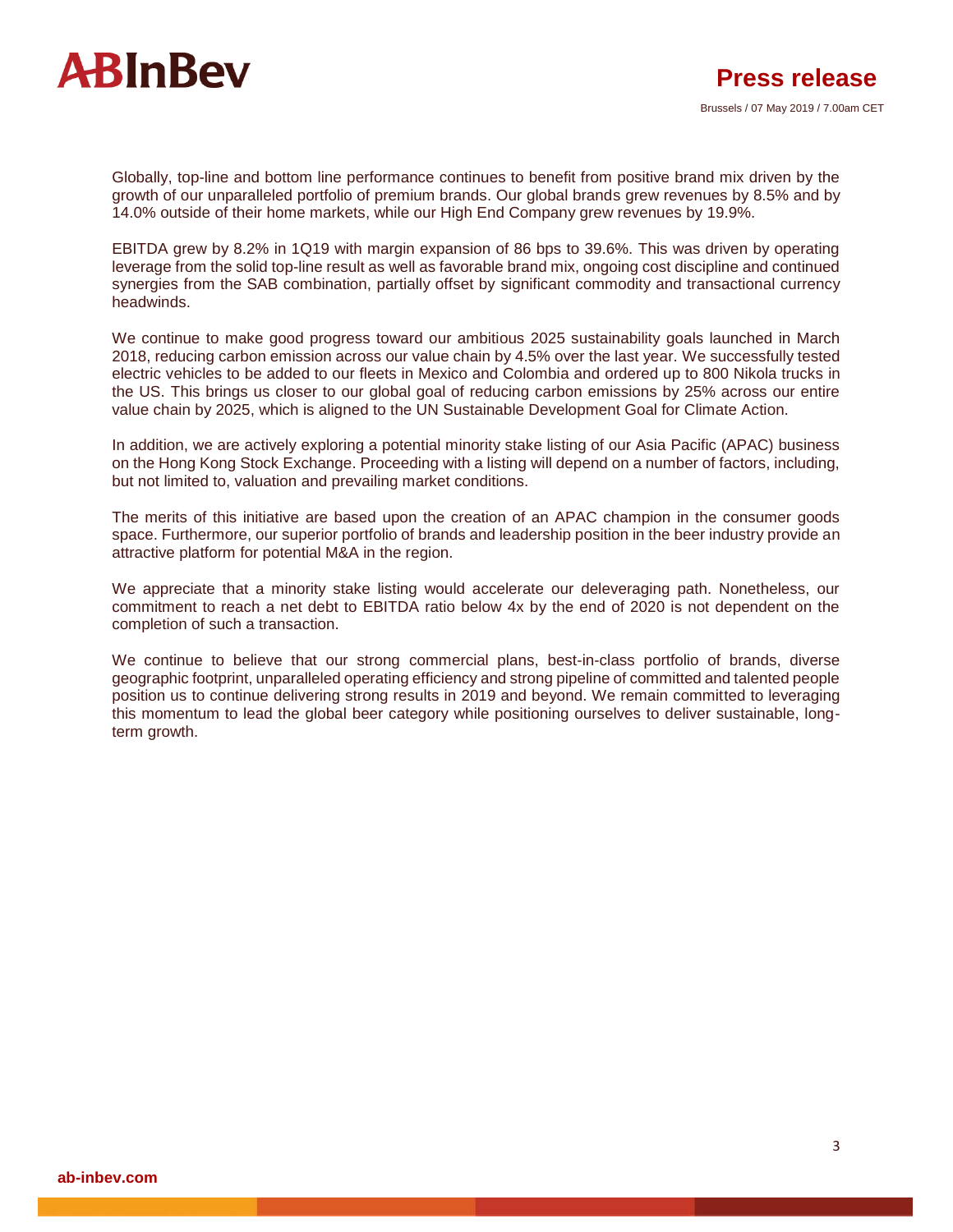

Globally, top-line and bottom line performance continues to benefit from positive brand mix driven by the growth of our unparalleled portfolio of premium brands. Our global brands grew revenues by 8.5% and by 14.0% outside of their home markets, while our High End Company grew revenues by 19.9%.

EBITDA grew by 8.2% in 1Q19 with margin expansion of 86 bps to 39.6%. This was driven by operating leverage from the solid top-line result as well as favorable brand mix, ongoing cost discipline and continued synergies from the SAB combination, partially offset by significant commodity and transactional currency headwinds.

We continue to make good progress toward our ambitious 2025 sustainability goals launched in March 2018, reducing carbon emission across our value chain by 4.5% over the last year. We successfully tested electric vehicles to be added to our fleets in Mexico and Colombia and ordered up to 800 Nikola trucks in the US. This brings us closer to our global goal of reducing carbon emissions by 25% across our entire value chain by 2025, which is aligned to the UN Sustainable Development Goal for Climate Action.

In addition, we are actively exploring a potential minority stake listing of our Asia Pacific (APAC) business on the Hong Kong Stock Exchange. Proceeding with a listing will depend on a number of factors, including, but not limited to, valuation and prevailing market conditions.

The merits of this initiative are based upon the creation of an APAC champion in the consumer goods space. Furthermore, our superior portfolio of brands and leadership position in the beer industry provide an attractive platform for potential M&A in the region.

We appreciate that a minority stake listing would accelerate our deleveraging path. Nonetheless, our commitment to reach a net debt to EBITDA ratio below 4x by the end of 2020 is not dependent on the completion of such a transaction.

We continue to believe that our strong commercial plans, best-in-class portfolio of brands, diverse geographic footprint, unparalleled operating efficiency and strong pipeline of committed and talented people position us to continue delivering strong results in 2019 and beyond. We remain committed to leveraging this momentum to lead the global beer category while positioning ourselves to deliver sustainable, longterm growth.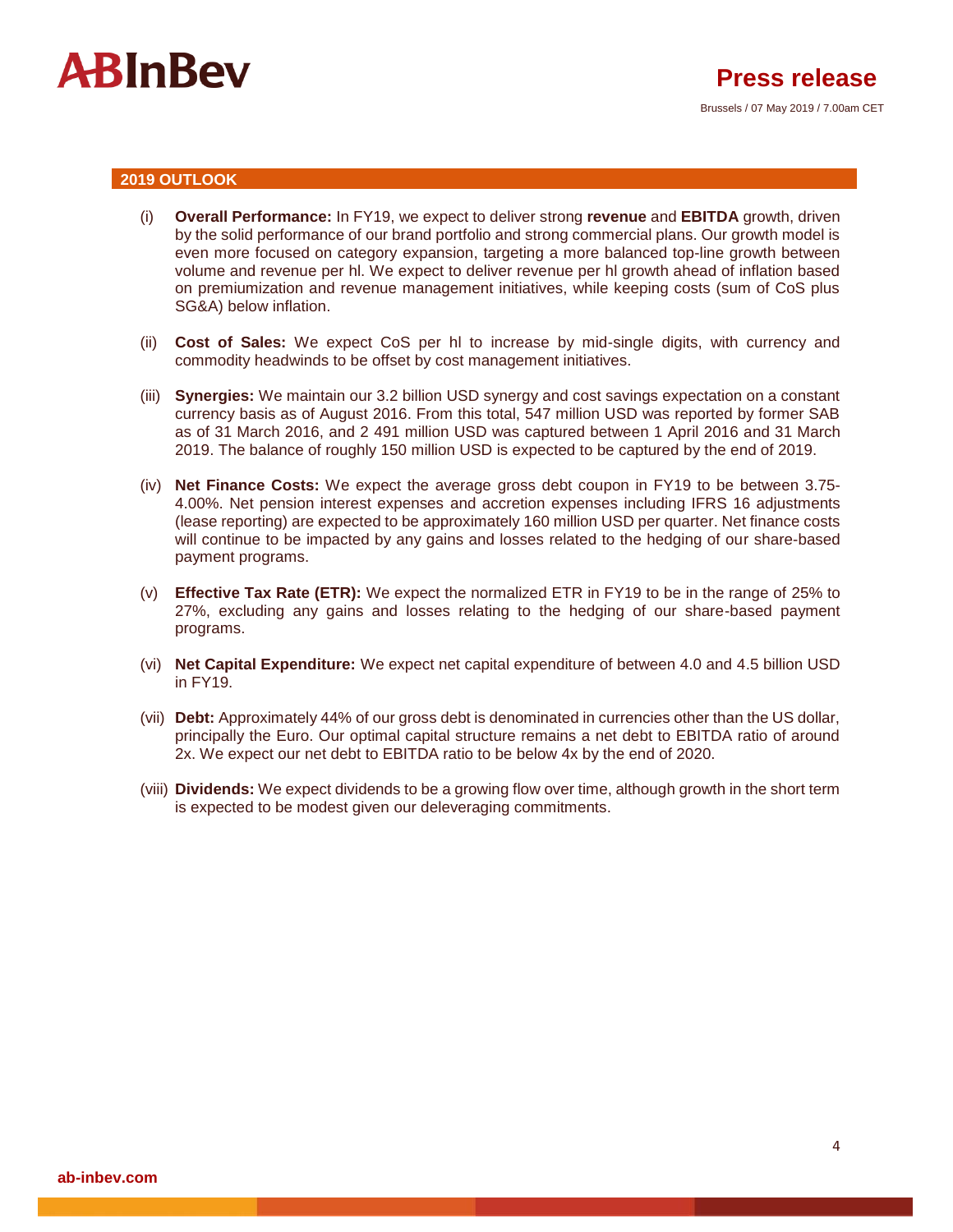

#### **2019 OUTLOOK**

- (i) **Overall Performance:** In FY19, we expect to deliver strong **revenue** and **EBITDA** growth, driven by the solid performance of our brand portfolio and strong commercial plans. Our growth model is even more focused on category expansion, targeting a more balanced top-line growth between volume and revenue per hl. We expect to deliver revenue per hl growth ahead of inflation based on premiumization and revenue management initiatives, while keeping costs (sum of CoS plus SG&A) below inflation.
- (ii) **Cost of Sales:** We expect CoS per hl to increase by mid-single digits, with currency and commodity headwinds to be offset by cost management initiatives.
- (iii) **Synergies:** We maintain our 3.2 billion USD synergy and cost savings expectation on a constant currency basis as of August 2016. From this total, 547 million USD was reported by former SAB as of 31 March 2016, and 2 491 million USD was captured between 1 April 2016 and 31 March 2019. The balance of roughly 150 million USD is expected to be captured by the end of 2019.
- (iv) **Net Finance Costs:** We expect the average gross debt coupon in FY19 to be between 3.75- 4.00%. Net pension interest expenses and accretion expenses including IFRS 16 adjustments (lease reporting) are expected to be approximately 160 million USD per quarter. Net finance costs will continue to be impacted by any gains and losses related to the hedging of our share-based payment programs.
- (v) **Effective Tax Rate (ETR):** We expect the normalized ETR in FY19 to be in the range of 25% to 27%, excluding any gains and losses relating to the hedging of our share-based payment programs.
- (vi) **Net Capital Expenditure:** We expect net capital expenditure of between 4.0 and 4.5 billion USD in FY19.
- (vii) **Debt:** Approximately 44% of our gross debt is denominated in currencies other than the US dollar, principally the Euro. Our optimal capital structure remains a net debt to EBITDA ratio of around 2x. We expect our net debt to EBITDA ratio to be below 4x by the end of 2020.
- (viii) **Dividends:** We expect dividends to be a growing flow over time, although growth in the short term is expected to be modest given our deleveraging commitments.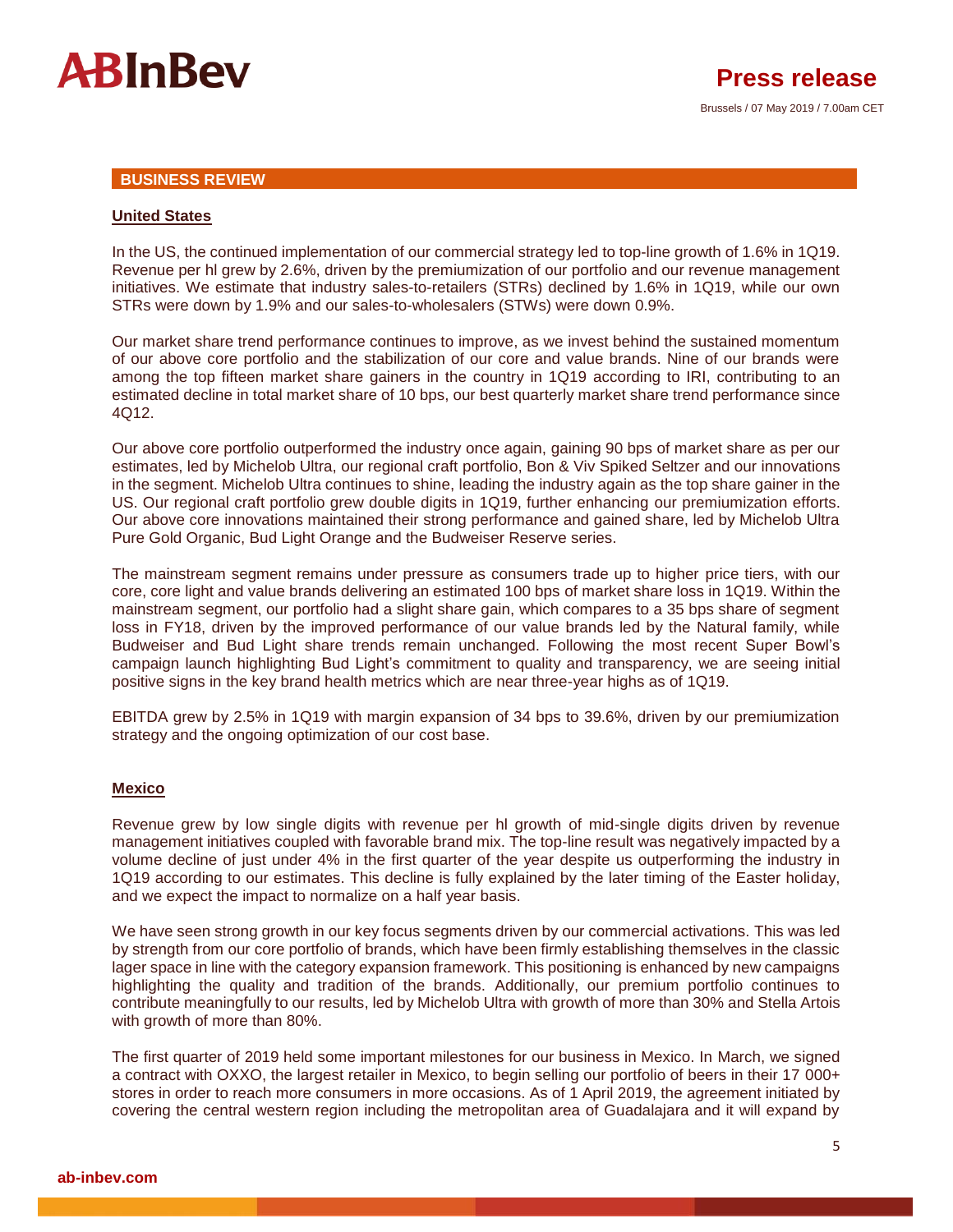

#### **BUSINESS REVIEW**

#### **United States**

In the US, the continued implementation of our commercial strategy led to top-line growth of 1.6% in 1Q19. Revenue per hl grew by 2.6%, driven by the premiumization of our portfolio and our revenue management initiatives. We estimate that industry sales-to-retailers (STRs) declined by 1.6% in 1Q19, while our own STRs were down by 1.9% and our sales-to-wholesalers (STWs) were down 0.9%.

Our market share trend performance continues to improve, as we invest behind the sustained momentum of our above core portfolio and the stabilization of our core and value brands. Nine of our brands were among the top fifteen market share gainers in the country in 1Q19 according to IRI, contributing to an estimated decline in total market share of 10 bps, our best quarterly market share trend performance since 4Q12.

Our above core portfolio outperformed the industry once again, gaining 90 bps of market share as per our estimates, led by Michelob Ultra, our regional craft portfolio, Bon & Viv Spiked Seltzer and our innovations in the segment. Michelob Ultra continues to shine, leading the industry again as the top share gainer in the US. Our regional craft portfolio grew double digits in 1Q19, further enhancing our premiumization efforts. Our above core innovations maintained their strong performance and gained share, led by Michelob Ultra Pure Gold Organic, Bud Light Orange and the Budweiser Reserve series.

The mainstream segment remains under pressure as consumers trade up to higher price tiers, with our core, core light and value brands delivering an estimated 100 bps of market share loss in 1Q19. Within the mainstream segment, our portfolio had a slight share gain, which compares to a 35 bps share of segment loss in FY18, driven by the improved performance of our value brands led by the Natural family, while Budweiser and Bud Light share trends remain unchanged. Following the most recent Super Bowl's campaign launch highlighting Bud Light's commitment to quality and transparency, we are seeing initial positive signs in the key brand health metrics which are near three-year highs as of 1Q19.

EBITDA grew by 2.5% in 1Q19 with margin expansion of 34 bps to 39.6%, driven by our premiumization strategy and the ongoing optimization of our cost base.

#### **Mexico**

Revenue grew by low single digits with revenue per hl growth of mid-single digits driven by revenue management initiatives coupled with favorable brand mix. The top-line result was negatively impacted by a volume decline of just under 4% in the first quarter of the year despite us outperforming the industry in 1Q19 according to our estimates. This decline is fully explained by the later timing of the Easter holiday, and we expect the impact to normalize on a half year basis.

We have seen strong growth in our key focus segments driven by our commercial activations. This was led by strength from our core portfolio of brands, which have been firmly establishing themselves in the classic lager space in line with the category expansion framework. This positioning is enhanced by new campaigns highlighting the quality and tradition of the brands. Additionally, our premium portfolio continues to contribute meaningfully to our results, led by Michelob Ultra with growth of more than 30% and Stella Artois with growth of more than 80%.

The first quarter of 2019 held some important milestones for our business in Mexico. In March, we signed a contract with OXXO, the largest retailer in Mexico, to begin selling our portfolio of beers in their 17 000+ stores in order to reach more consumers in more occasions. As of 1 April 2019, the agreement initiated by covering the central western region including the metropolitan area of Guadalajara and it will expand by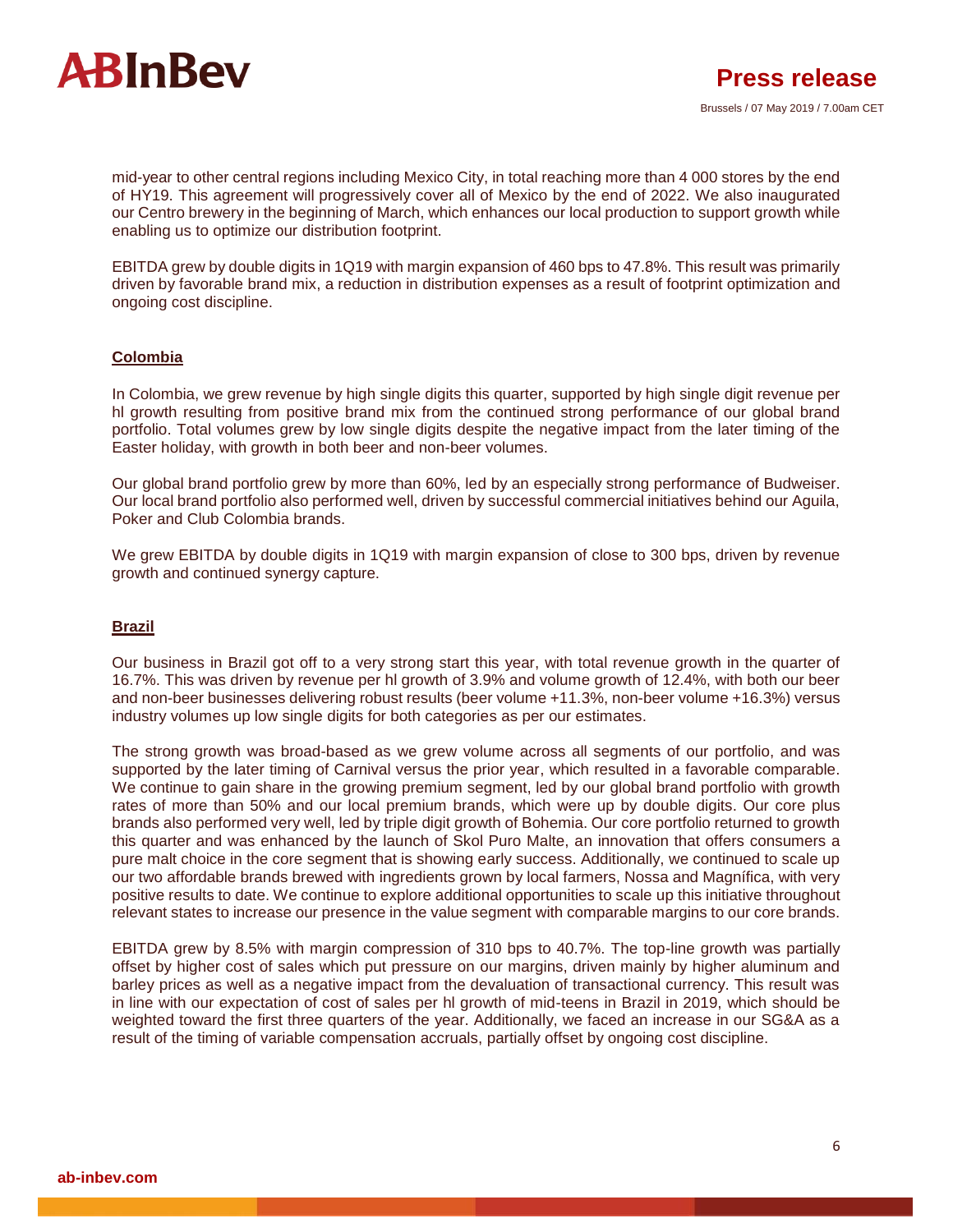

mid-year to other central regions including Mexico City, in total reaching more than 4 000 stores by the end of HY19. This agreement will progressively cover all of Mexico by the end of 2022. We also inaugurated our Centro brewery in the beginning of March, which enhances our local production to support growth while enabling us to optimize our distribution footprint.

EBITDA grew by double digits in 1Q19 with margin expansion of 460 bps to 47.8%. This result was primarily driven by favorable brand mix, a reduction in distribution expenses as a result of footprint optimization and ongoing cost discipline.

#### **Colombia**

In Colombia, we grew revenue by high single digits this quarter, supported by high single digit revenue per hl growth resulting from positive brand mix from the continued strong performance of our global brand portfolio. Total volumes grew by low single digits despite the negative impact from the later timing of the Easter holiday, with growth in both beer and non-beer volumes.

Our global brand portfolio grew by more than 60%, led by an especially strong performance of Budweiser. Our local brand portfolio also performed well, driven by successful commercial initiatives behind our Aguila, Poker and Club Colombia brands.

We grew EBITDA by double digits in 1Q19 with margin expansion of close to 300 bps, driven by revenue growth and continued synergy capture.

#### **Brazil**

Our business in Brazil got off to a very strong start this year, with total revenue growth in the quarter of 16.7%. This was driven by revenue per hl growth of 3.9% and volume growth of 12.4%, with both our beer and non-beer businesses delivering robust results (beer volume +11.3%, non-beer volume +16.3%) versus industry volumes up low single digits for both categories as per our estimates.

The strong growth was broad-based as we grew volume across all segments of our portfolio, and was supported by the later timing of Carnival versus the prior year, which resulted in a favorable comparable. We continue to gain share in the growing premium segment, led by our global brand portfolio with growth rates of more than 50% and our local premium brands, which were up by double digits. Our core plus brands also performed very well, led by triple digit growth of Bohemia. Our core portfolio returned to growth this quarter and was enhanced by the launch of Skol Puro Malte, an innovation that offers consumers a pure malt choice in the core segment that is showing early success. Additionally, we continued to scale up our two affordable brands brewed with ingredients grown by local farmers, Nossa and Magnífica, with very positive results to date. We continue to explore additional opportunities to scale up this initiative throughout relevant states to increase our presence in the value segment with comparable margins to our core brands.

EBITDA grew by 8.5% with margin compression of 310 bps to 40.7%. The top-line growth was partially offset by higher cost of sales which put pressure on our margins, driven mainly by higher aluminum and barley prices as well as a negative impact from the devaluation of transactional currency. This result was in line with our expectation of cost of sales per hl growth of mid-teens in Brazil in 2019, which should be weighted toward the first three quarters of the year. Additionally, we faced an increase in our SG&A as a result of the timing of variable compensation accruals, partially offset by ongoing cost discipline.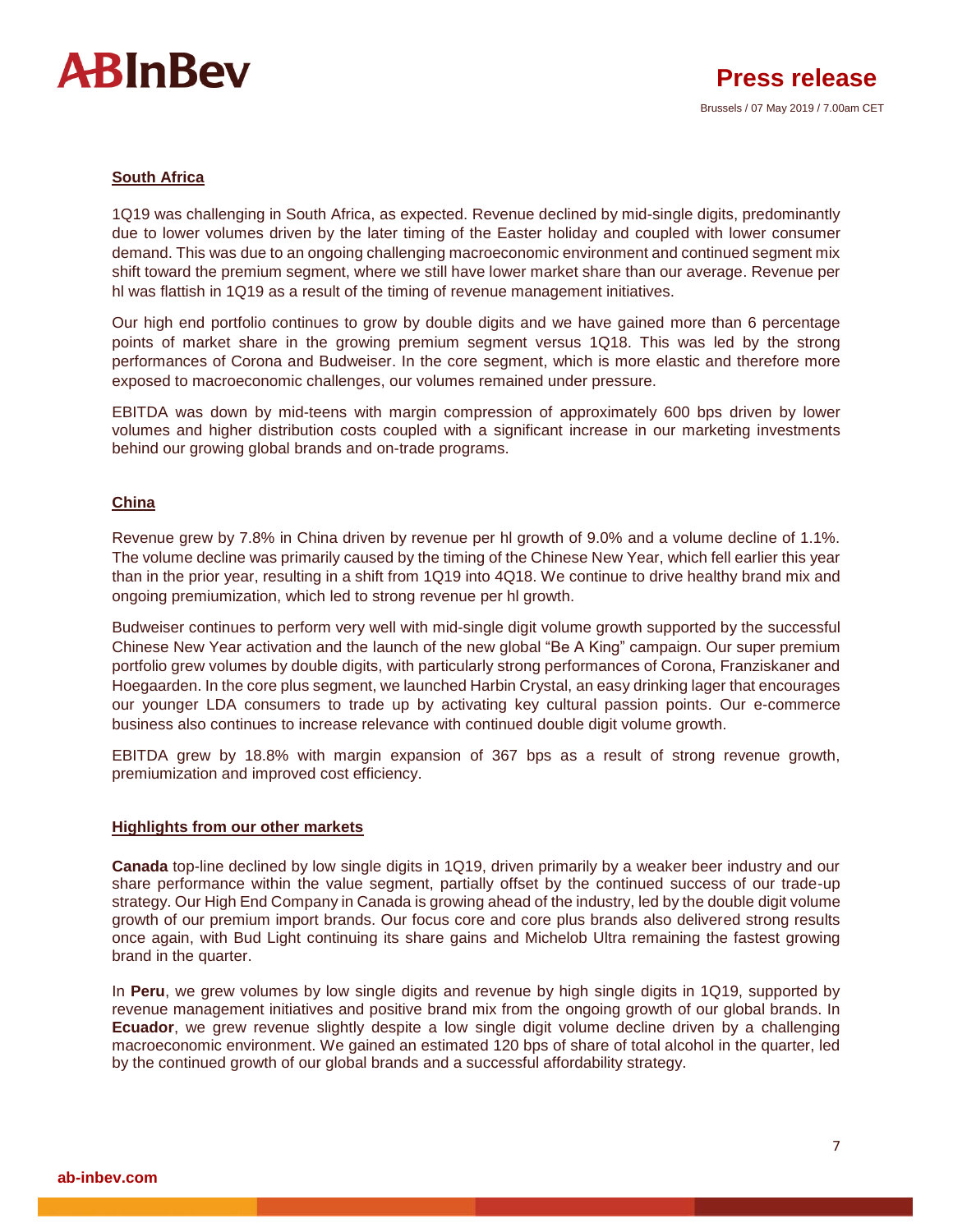

#### **South Africa**

1Q19 was challenging in South Africa, as expected. Revenue declined by mid-single digits, predominantly due to lower volumes driven by the later timing of the Easter holiday and coupled with lower consumer demand. This was due to an ongoing challenging macroeconomic environment and continued segment mix shift toward the premium segment, where we still have lower market share than our average. Revenue per hl was flattish in 1Q19 as a result of the timing of revenue management initiatives.

Our high end portfolio continues to grow by double digits and we have gained more than 6 percentage points of market share in the growing premium segment versus 1Q18. This was led by the strong performances of Corona and Budweiser. In the core segment, which is more elastic and therefore more exposed to macroeconomic challenges, our volumes remained under pressure.

EBITDA was down by mid-teens with margin compression of approximately 600 bps driven by lower volumes and higher distribution costs coupled with a significant increase in our marketing investments behind our growing global brands and on-trade programs.

#### **China**

Revenue grew by 7.8% in China driven by revenue per hl growth of 9.0% and a volume decline of 1.1%. The volume decline was primarily caused by the timing of the Chinese New Year, which fell earlier this year than in the prior year, resulting in a shift from 1Q19 into 4Q18. We continue to drive healthy brand mix and ongoing premiumization, which led to strong revenue per hl growth.

Budweiser continues to perform very well with mid-single digit volume growth supported by the successful Chinese New Year activation and the launch of the new global "Be A King" campaign. Our super premium portfolio grew volumes by double digits, with particularly strong performances of Corona, Franziskaner and Hoegaarden. In the core plus segment, we launched Harbin Crystal, an easy drinking lager that encourages our younger LDA consumers to trade up by activating key cultural passion points. Our e-commerce business also continues to increase relevance with continued double digit volume growth.

EBITDA grew by 18.8% with margin expansion of 367 bps as a result of strong revenue growth, premiumization and improved cost efficiency.

#### **Highlights from our other markets**

**Canada** top-line declined by low single digits in 1Q19, driven primarily by a weaker beer industry and our share performance within the value segment, partially offset by the continued success of our trade-up strategy. Our High End Company in Canada is growing ahead of the industry, led by the double digit volume growth of our premium import brands. Our focus core and core plus brands also delivered strong results once again, with Bud Light continuing its share gains and Michelob Ultra remaining the fastest growing brand in the quarter.

In **Peru**, we grew volumes by low single digits and revenue by high single digits in 1Q19, supported by revenue management initiatives and positive brand mix from the ongoing growth of our global brands. In **Ecuador**, we grew revenue slightly despite a low single digit volume decline driven by a challenging macroeconomic environment. We gained an estimated 120 bps of share of total alcohol in the quarter, led by the continued growth of our global brands and a successful affordability strategy.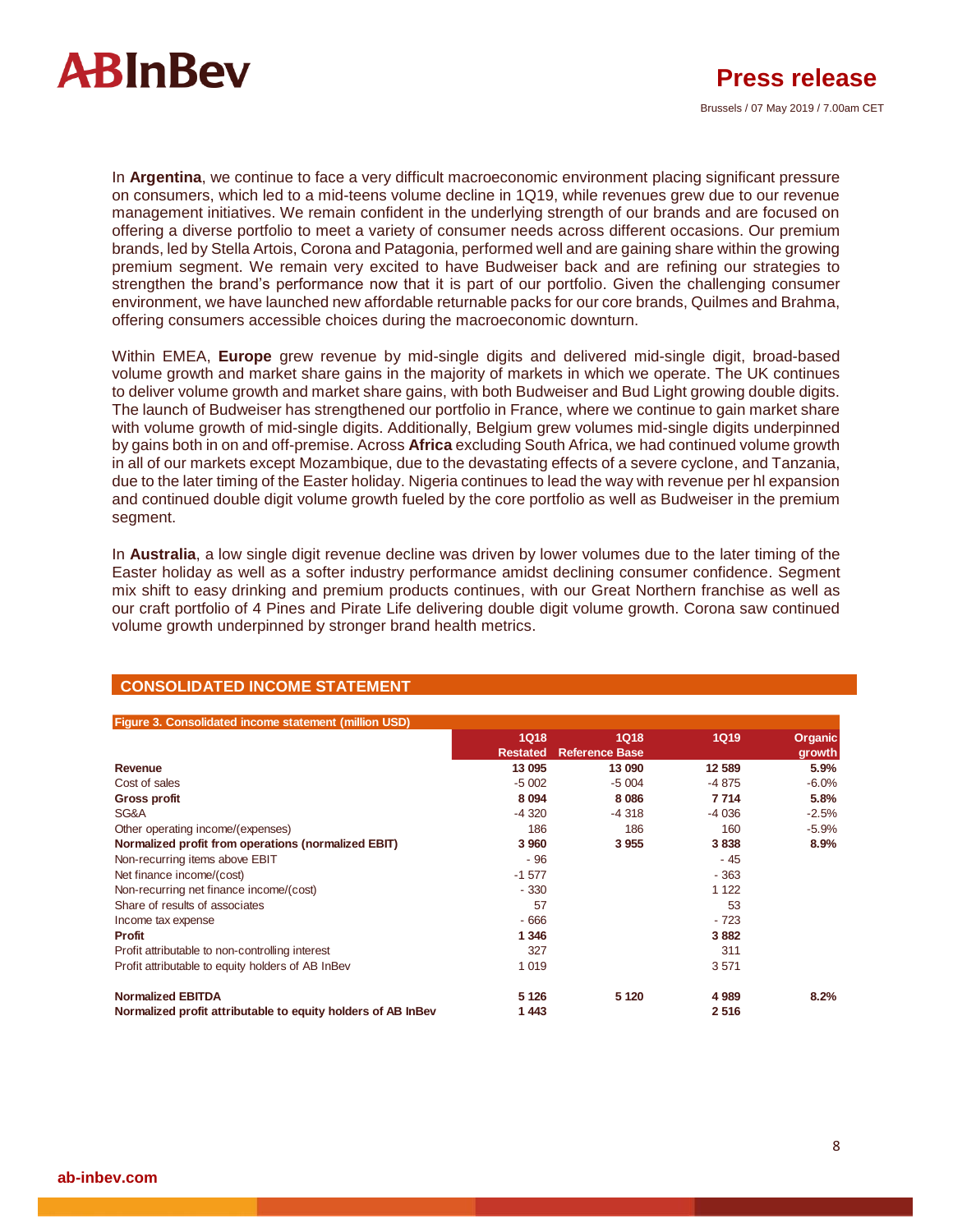

In **Argentina**, we continue to face a very difficult macroeconomic environment placing significant pressure on consumers, which led to a mid-teens volume decline in 1Q19, while revenues grew due to our revenue management initiatives. We remain confident in the underlying strength of our brands and are focused on offering a diverse portfolio to meet a variety of consumer needs across different occasions. Our premium brands, led by Stella Artois, Corona and Patagonia, performed well and are gaining share within the growing premium segment. We remain very excited to have Budweiser back and are refining our strategies to strengthen the brand's performance now that it is part of our portfolio. Given the challenging consumer environment, we have launched new affordable returnable packs for our core brands, Quilmes and Brahma, offering consumers accessible choices during the macroeconomic downturn.

Within EMEA, **Europe** grew revenue by mid-single digits and delivered mid-single digit, broad-based volume growth and market share gains in the majority of markets in which we operate. The UK continues to deliver volume growth and market share gains, with both Budweiser and Bud Light growing double digits. The launch of Budweiser has strengthened our portfolio in France, where we continue to gain market share with volume growth of mid-single digits. Additionally, Belgium grew volumes mid-single digits underpinned by gains both in on and off-premise. Across **Africa** excluding South Africa, we had continued volume growth in all of our markets except Mozambique, due to the devastating effects of a severe cyclone, and Tanzania, due to the later timing of the Easter holiday. Nigeria continues to lead the way with revenue per hl expansion and continued double digit volume growth fueled by the core portfolio as well as Budweiser in the premium segment.

In **Australia**, a low single digit revenue decline was driven by lower volumes due to the later timing of the Easter holiday as well as a softer industry performance amidst declining consumer confidence. Segment mix shift to easy drinking and premium products continues, with our Great Northern franchise as well as our craft portfolio of 4 Pines and Pirate Life delivering double digit volume growth. Corona saw continued volume growth underpinned by stronger brand health metrics.

| Figure 3. Consolidated income statement (million USD)        |                 |                       |         |         |
|--------------------------------------------------------------|-----------------|-----------------------|---------|---------|
|                                                              | <b>1Q18</b>     | <b>1Q18</b>           | 1Q19    | Organic |
|                                                              | <b>Restated</b> | <b>Reference Base</b> |         | growth  |
| Revenue                                                      | 13 095          | 13 090                | 12 589  | 5.9%    |
| Cost of sales                                                | $-5002$         | $-5004$               | -4 875  | $-6.0%$ |
| <b>Gross profit</b>                                          | 8 0 94          | 8 0 8 6               | 7714    | 5.8%    |
| SG&A                                                         | $-4.320$        | $-4318$               | $-4036$ | $-2.5%$ |
| Other operating income/(expenses)                            | 186             | 186                   | 160     | $-5.9%$ |
| Normalized profit from operations (normalized EBIT)          | 3 9 6 0         | 3 9 5 5               | 3838    | 8.9%    |
| Non-recurring items above EBIT                               | $-96$           |                       | - 45    |         |
| Net finance income/(cost)                                    | $-1577$         |                       | $-363$  |         |
| Non-recurring net finance income/(cost)                      | $-330$          |                       | 1 1 2 2 |         |
| Share of results of associates                               | 57              |                       | 53      |         |
| Income tax expense                                           | $-666$          |                       | $-723$  |         |
| <b>Profit</b>                                                | 1 3 4 6         |                       | 3882    |         |
| Profit attributable to non-controlling interest              | 327             |                       | 311     |         |
| Profit attributable to equity holders of AB InBev            | 1 0 1 9         |                       | 3571    |         |
| <b>Normalized EBITDA</b>                                     | 5 1 2 6         | 5 1 2 0               | 4 9 8 9 | 8.2%    |
| Normalized profit attributable to equity holders of AB InBev | 1443            |                       | 2516    |         |

#### **CONSOLIDATED INCOME STATEMENT**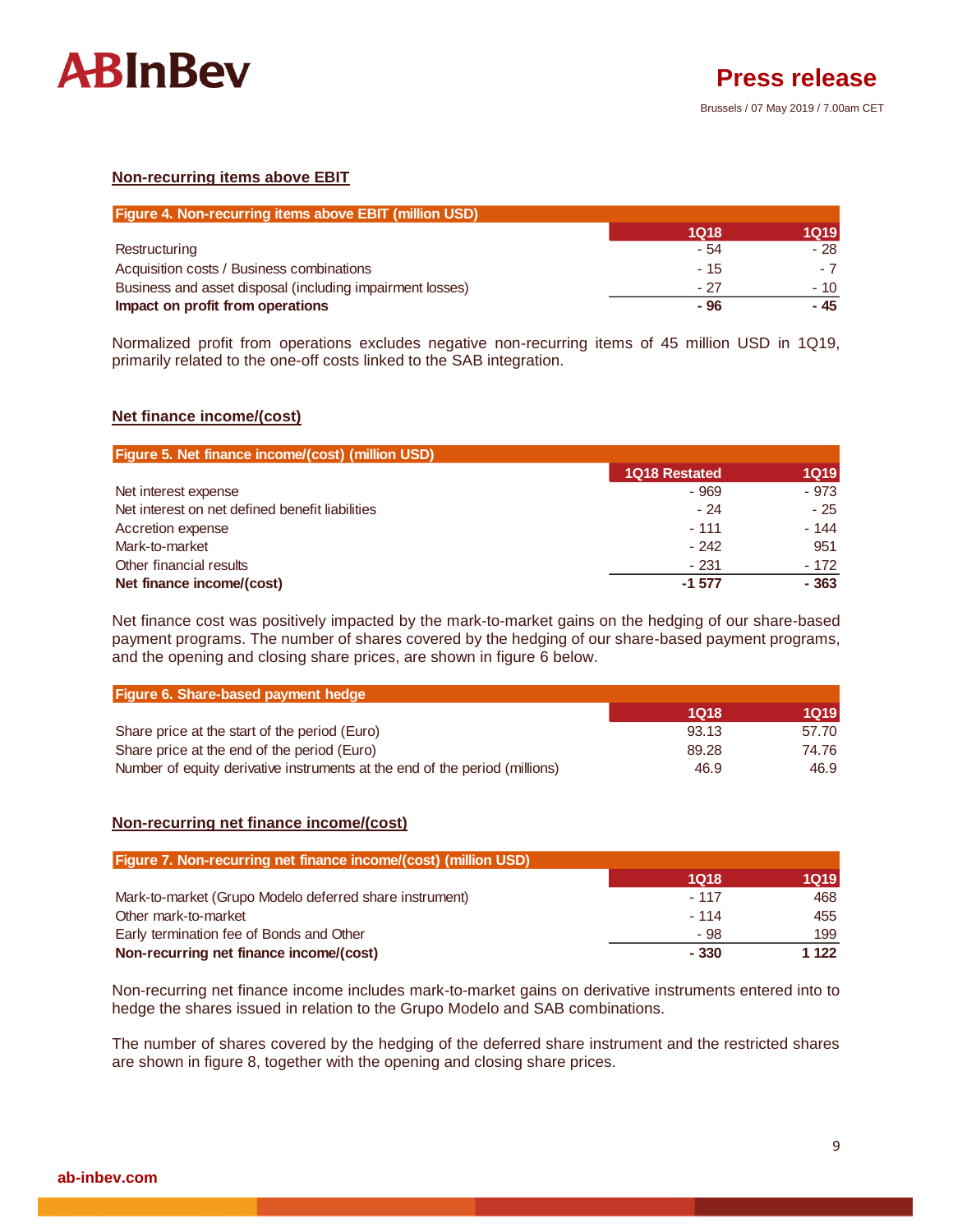

#### **Non-recurring items above EBIT**

| <b>Figure 4. Non-recurring items above EBIT (million USD)</b> |             |             |
|---------------------------------------------------------------|-------------|-------------|
|                                                               | <b>1Q18</b> | <b>1Q19</b> |
| Restructuring                                                 | - 54        | - 28        |
| Acquisition costs / Business combinations                     | $-15$       | - 7         |
| Business and asset disposal (including impairment losses)     | - 27        | $-10$       |
| Impact on profit from operations                              | - 96        | - 45        |

Normalized profit from operations excludes negative non-recurring items of 45 million USD in 1Q19, primarily related to the one-off costs linked to the SAB integration.

#### **Net finance income/(cost)**

| Figure 5. Net finance income/(cost) (million USD) |                      |             |
|---------------------------------------------------|----------------------|-------------|
|                                                   | <b>1Q18 Restated</b> | <b>1Q19</b> |
| Net interest expense                              | $-969$               | $-973$      |
| Net interest on net defined benefit liabilities   | - 24                 | $-25$       |
| Accretion expense                                 | $-111$               | $-144$      |
| Mark-to-market                                    | $-242$               | 951         |
| Other financial results                           | $-231$               | - 172       |
| Net finance income/(cost)                         | $-1.577$             | $-363$      |

Net finance cost was positively impacted by the mark-to-market gains on the hedging of our share-based payment programs. The number of shares covered by the hedging of our share-based payment programs, and the opening and closing share prices, are shown in figure 6 below.

| Figure 6. Share-based payment hedge                                         |       |        |
|-----------------------------------------------------------------------------|-------|--------|
|                                                                             | 1018  | 1Q19 I |
| Share price at the start of the period (Euro)                               | 93.13 | 57.70  |
| Share price at the end of the period (Euro)                                 | 89.28 | 74.76  |
| Number of equity derivative instruments at the end of the period (millions) | 46.9  | 46.9   |

#### **Non-recurring net finance income/(cost)**

| <b>Figure 7. Non-recurring net finance income/(cost) (million USD)</b> |             |         |
|------------------------------------------------------------------------|-------------|---------|
|                                                                        | <b>1Q18</b> | 1Q19    |
| Mark-to-market (Grupo Modelo deferred share instrument)                | $-117$      | 468     |
| Other mark-to-market                                                   | $-114$      | 455     |
| Early termination fee of Bonds and Other                               | - 98        | 199     |
| Non-recurring net finance income/(cost)                                | $-330$      | 1 1 2 2 |

Non-recurring net finance income includes mark-to-market gains on derivative instruments entered into to hedge the shares issued in relation to the Grupo Modelo and SAB combinations.

The number of shares covered by the hedging of the deferred share instrument and the restricted shares are shown in figure 8, together with the opening and closing share prices.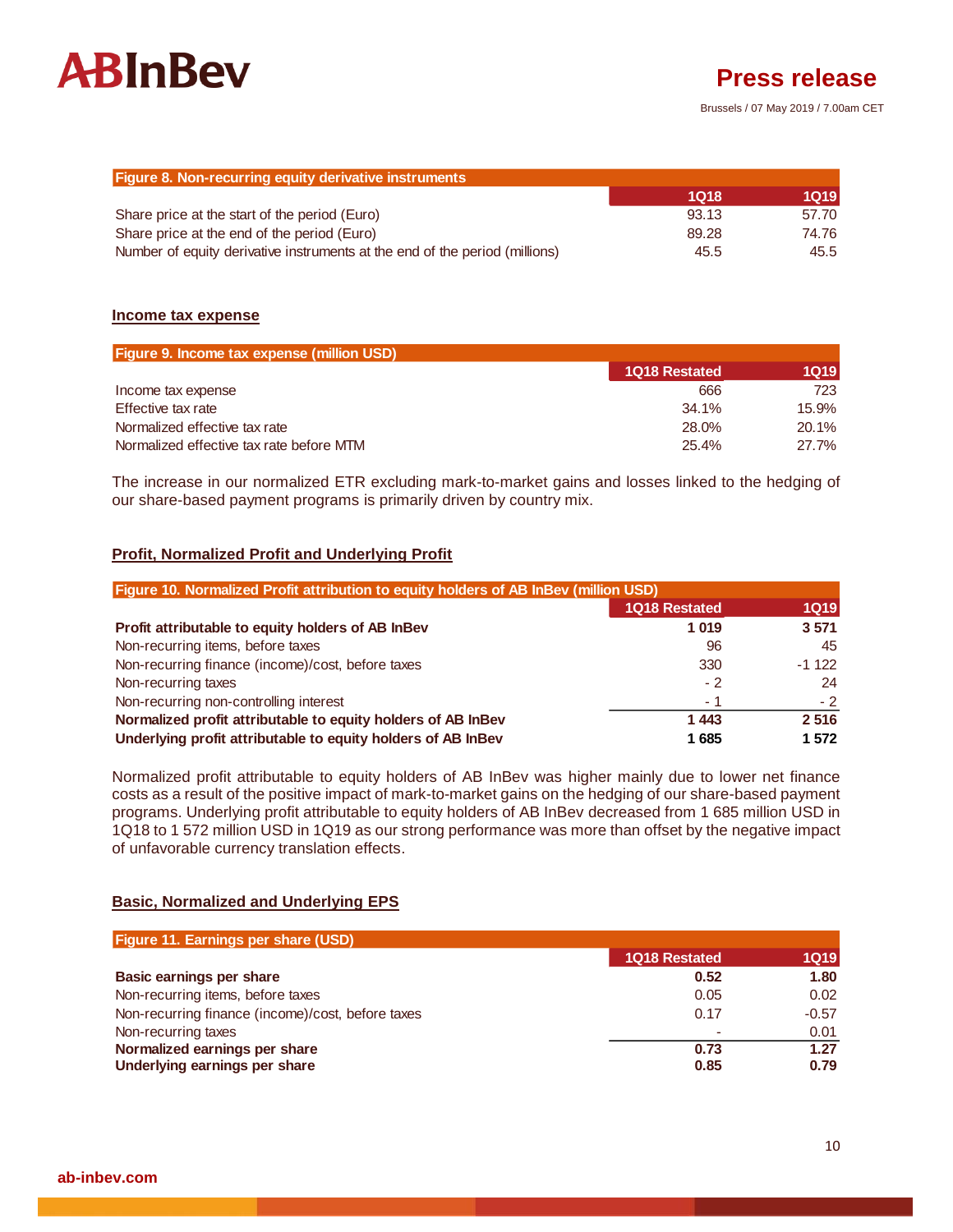

Brussels / 07 May 2019 / 7.00am CET

| Figure 8. Non-recurring equity derivative instruments                       |             |       |
|-----------------------------------------------------------------------------|-------------|-------|
|                                                                             | <b>1Q18</b> | 1Q19  |
| Share price at the start of the period (Euro)                               | 93.13       | 57.70 |
| Share price at the end of the period (Euro)                                 | 89.28       | 74.76 |
| Number of equity derivative instruments at the end of the period (millions) | 45.5        | 45.5  |

#### **Income tax expense**

| <b>Figure 9. Income tax expense (million USD)</b> |                      |        |
|---------------------------------------------------|----------------------|--------|
|                                                   | <b>1Q18 Restated</b> | 1Q19 I |
| Income tax expense                                | 666                  | 723    |
| Effective tax rate                                | 34.1%                | 15.9%  |
| Normalized effective tax rate                     | 28.0%                | 20.1%  |
| Normalized effective tax rate before MTM          | 25.4%                | 27.7%  |

The increase in our normalized ETR excluding mark-to-market gains and losses linked to the hedging of our share-based payment programs is primarily driven by country mix.

#### **Profit, Normalized Profit and Underlying Profit**

| Figure 10. Normalized Profit attribution to equity holders of AB InBev (million USD) |               |             |
|--------------------------------------------------------------------------------------|---------------|-------------|
|                                                                                      | 1Q18 Restated | <b>1Q19</b> |
| Profit attributable to equity holders of AB InBev                                    | 1019          | 3 5 7 1     |
| Non-recurring items, before taxes                                                    | 96            | 45          |
| Non-recurring finance (income)/cost, before taxes                                    | 330           | $-1122$     |
| Non-recurring taxes                                                                  | $-2$          | 24          |
| Non-recurring non-controlling interest                                               | - 1           | $-2^{-}$    |
| Normalized profit attributable to equity holders of AB InBev                         | 1443          | 2516        |
| Underlying profit attributable to equity holders of AB InBev                         | 1685          | 1 572       |

Normalized profit attributable to equity holders of AB InBev was higher mainly due to lower net finance costs as a result of the positive impact of mark-to-market gains on the hedging of our share-based payment programs. Underlying profit attributable to equity holders of AB InBev decreased from 1 685 million USD in 1Q18 to 1 572 million USD in 1Q19 as our strong performance was more than offset by the negative impact of unfavorable currency translation effects.

#### **Basic, Normalized and Underlying EPS**

| <b>Figure 11. Earnings per share (USD)</b>        |               |             |
|---------------------------------------------------|---------------|-------------|
|                                                   | 1Q18 Restated | <b>1Q19</b> |
| Basic earnings per share                          | 0.52          | 1.80        |
| Non-recurring items, before taxes                 | 0.05          | 0.02        |
| Non-recurring finance (income)/cost, before taxes | 0.17          | $-0.57$     |
| Non-recurring taxes                               |               | 0.01        |
| Normalized earnings per share                     | 0.73          | 1.27        |
| Underlying earnings per share                     | 0.85          | 0.79        |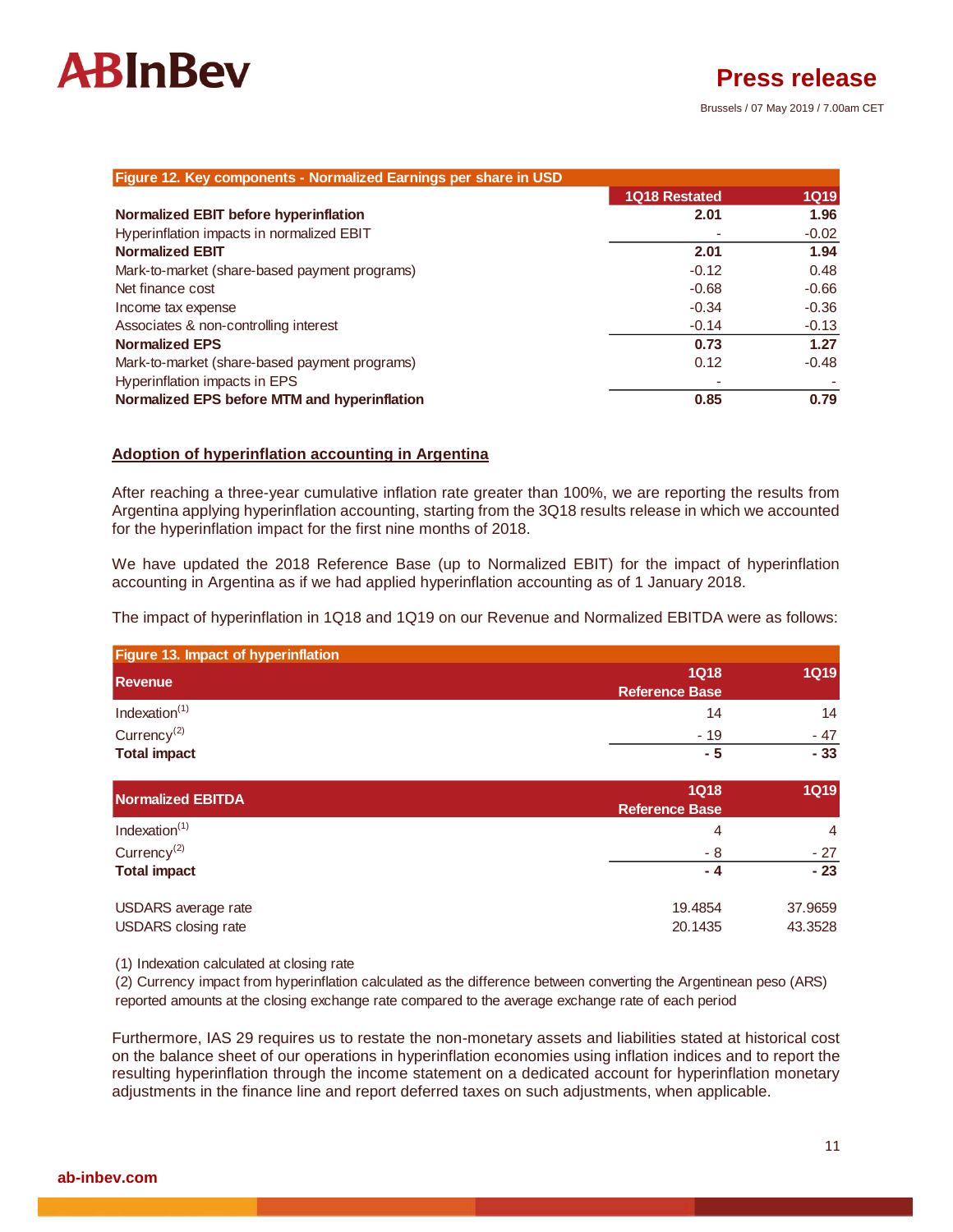| Figure 12. Key components - Normalized Earnings per share in USD |               |             |
|------------------------------------------------------------------|---------------|-------------|
|                                                                  | 1Q18 Restated | <b>1Q19</b> |
| Normalized EBIT before hyperinflation                            | 2.01          | 1.96        |
| Hyperinflation impacts in normalized EBIT                        |               | $-0.02$     |
| <b>Normalized EBIT</b>                                           | 2.01          | 1.94        |
| Mark-to-market (share-based payment programs)                    | $-0.12$       | 0.48        |
| Net finance cost                                                 | $-0.68$       | $-0.66$     |
| Income tax expense                                               | $-0.34$       | $-0.36$     |
| Associates & non-controlling interest                            | $-0.14$       | $-0.13$     |
| <b>Normalized EPS</b>                                            | 0.73          | 1.27        |
| Mark-to-market (share-based payment programs)                    | 0.12          | $-0.48$     |
| Hyperinflation impacts in EPS                                    |               |             |
| Normalized EPS before MTM and hyperinflation                     | 0.85          | 0.79        |

#### **Adoption of hyperinflation accounting in Argentina**

After reaching a three-year cumulative inflation rate greater than 100%, we are reporting the results from Argentina applying hyperinflation accounting, starting from the 3Q18 results release in which we accounted for the hyperinflation impact for the first nine months of 2018.

We have updated the 2018 Reference Base (up to Normalized EBIT) for the impact of hyperinflation accounting in Argentina as if we had applied hyperinflation accounting as of 1 January 2018.

The impact of hyperinflation in 1Q18 and 1Q19 on our Revenue and Normalized EBITDA were as follows:

| Figure 13. Impact of hyperinflation |                       |       |
|-------------------------------------|-----------------------|-------|
| <b>Revenue</b>                      | <b>1Q18</b>           | 1Q19  |
|                                     | <b>Reference Base</b> |       |
| Indexation $(1)$                    | 14                    | 14    |
| Currency <sup>(2)</sup>             | $-19$                 | - 47  |
| <b>Total impact</b>                 | - 5                   | $-33$ |

| <b>Normalized EBITDA</b>                          | <b>1Q18</b><br><b>Reference Base</b> | <b>1Q19</b>        |
|---------------------------------------------------|--------------------------------------|--------------------|
| Indexation $(1)$                                  | 4                                    | 4                  |
| Currency <sup>(2)</sup>                           | - 8                                  | $-27$              |
| <b>Total impact</b>                               | - 4                                  | $-23$              |
| USDARS average rate<br><b>USDARS</b> closing rate | 19.4854<br>20.1435                   | 37.9659<br>43.3528 |
|                                                   |                                      |                    |

(1) Indexation calculated at closing rate

(2) Currency impact from hyperinflation calculated as the difference between converting the Argentinean peso (ARS) reported amounts at the closing exchange rate compared to the average exchange rate of each period

Furthermore, IAS 29 requires us to restate the non-monetary assets and liabilities stated at historical cost on the balance sheet of our operations in hyperinflation economies using inflation indices and to report the resulting hyperinflation through the income statement on a dedicated account for hyperinflation monetary adjustments in the finance line and report deferred taxes on such adjustments, when applicable.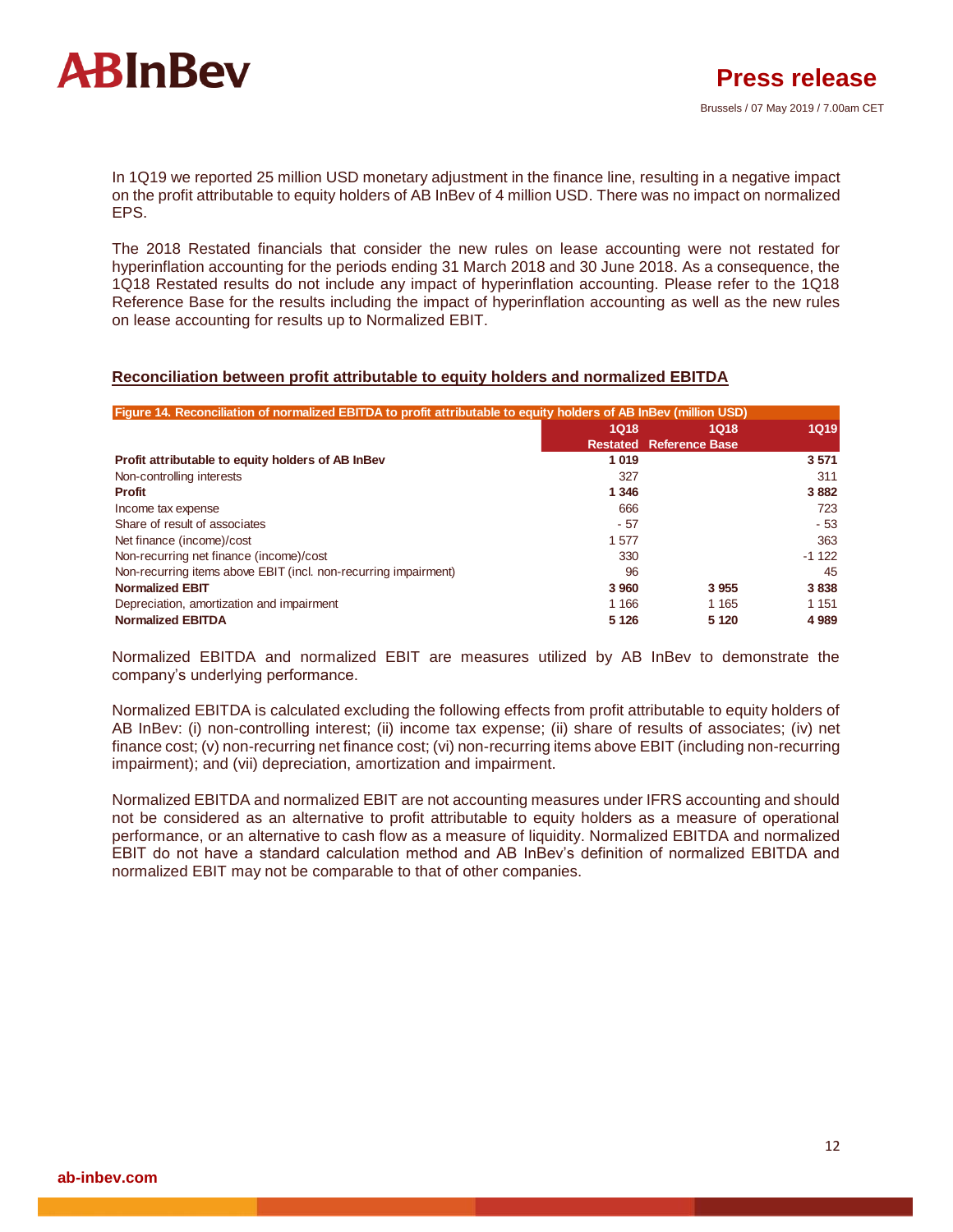

In 1Q19 we reported 25 million USD monetary adjustment in the finance line, resulting in a negative impact on the profit attributable to equity holders of AB InBev of 4 million USD. There was no impact on normalized EPS.

The 2018 Restated financials that consider the new rules on lease accounting were not restated for hyperinflation accounting for the periods ending 31 March 2018 and 30 June 2018. As a consequence, the 1Q18 Restated results do not include any impact of hyperinflation accounting. Please refer to the 1Q18 Reference Base for the results including the impact of hyperinflation accounting as well as the new rules on lease accounting for results up to Normalized EBIT.

#### **Reconciliation between profit attributable to equity holders and normalized EBITDA**

| Figure 14. Reconciliation of normalized EBITDA to profit attributable to equity holders of AB InBev (million USD) |         |                                |             |
|-------------------------------------------------------------------------------------------------------------------|---------|--------------------------------|-------------|
|                                                                                                                   | 1Q18    | 1Q18                           | <b>1Q19</b> |
|                                                                                                                   |         | <b>Restated Reference Base</b> |             |
| Profit attributable to equity holders of AB InBev                                                                 | 1019    |                                | 3 5 7 1     |
| Non-controlling interests                                                                                         | 327     |                                | 311         |
| <b>Profit</b>                                                                                                     | 1 3 4 6 |                                | 3882        |
| Income tax expense                                                                                                | 666     |                                | 723         |
| Share of result of associates                                                                                     | $-57$   |                                | $-53$       |
| Net finance (income)/cost                                                                                         | 1577    |                                | 363         |
| Non-recurring net finance (income)/cost                                                                           | 330     |                                | $-1122$     |
| Non-recurring items above EBIT (incl. non-recurring impairment)                                                   | 96      |                                | 45          |
| <b>Normalized EBIT</b>                                                                                            | 3 9 6 0 | 3955                           | 3838        |
| Depreciation, amortization and impairment                                                                         | 1 1 6 6 | 1 1 6 5                        | 1 1 5 1     |
| <b>Normalized EBITDA</b>                                                                                          | 5 1 2 6 | 5 1 2 0                        | 4 9 8 9     |

Normalized EBITDA and normalized EBIT are measures utilized by AB InBev to demonstrate the company's underlying performance.

Normalized EBITDA is calculated excluding the following effects from profit attributable to equity holders of AB InBev: (i) non-controlling interest; (ii) income tax expense; (ii) share of results of associates; (iv) net finance cost; (v) non-recurring net finance cost; (vi) non-recurring items above EBIT (including non-recurring impairment); and (vii) depreciation, amortization and impairment.

Normalized EBITDA and normalized EBIT are not accounting measures under IFRS accounting and should not be considered as an alternative to profit attributable to equity holders as a measure of operational performance, or an alternative to cash flow as a measure of liquidity. Normalized EBITDA and normalized EBIT do not have a standard calculation method and AB InBev's definition of normalized EBITDA and normalized EBIT may not be comparable to that of other companies.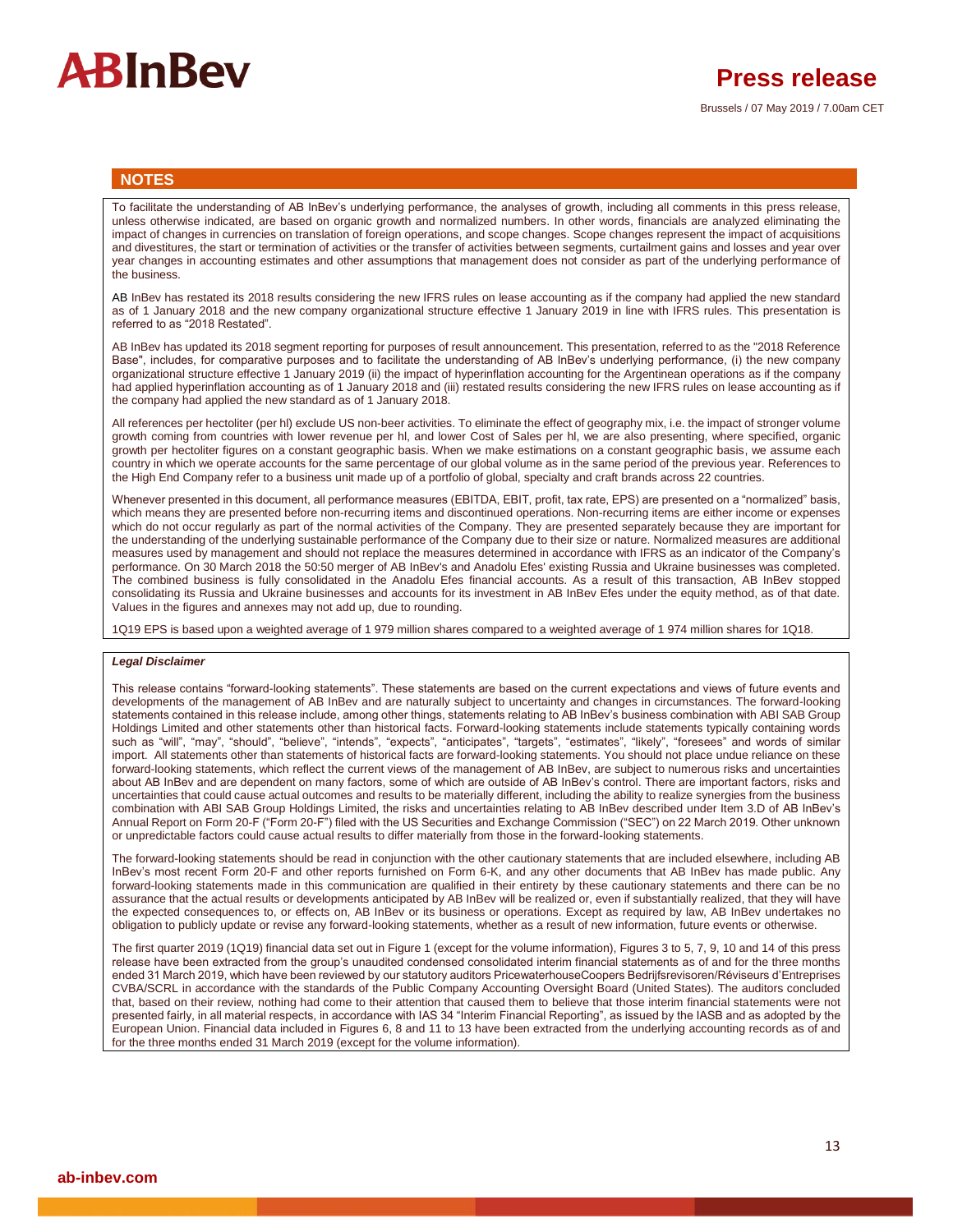# **ARInRev**

#### **NOTES**

To facilitate the understanding of AB InBev's underlying performance, the analyses of growth, including all comments in this press release, unless otherwise indicated, are based on organic growth and normalized numbers. In other words, financials are analyzed eliminating the impact of changes in currencies on translation of foreign operations, and scope changes. Scope changes represent the impact of acquisitions and divestitures, the start or termination of activities or the transfer of activities between segments, curtailment gains and losses and year over year changes in accounting estimates and other assumptions that management does not consider as part of the underlying performance of the business.

AB InBev has restated its 2018 results considering the new IFRS rules on lease accounting as if the company had applied the new standard as of 1 January 2018 and the new company organizational structure effective 1 January 2019 in line with IFRS rules. This presentation is referred to as "2018 Restated".

AB InBev has updated its 2018 segment reporting for purposes of result announcement. This presentation, referred to as the "2018 Reference Base", includes, for comparative purposes and to facilitate the understanding of AB InBev's underlying performance, (i) the new company organizational structure effective 1 January 2019 (ii) the impact of hyperinflation accounting for the Argentinean operations as if the company had applied hyperinflation accounting as of 1 January 2018 and (iii) restated results considering the new IFRS rules on lease accounting as if the company had applied the new standard as of 1 January 2018.

All references per hectoliter (per hl) exclude US non-beer activities. To eliminate the effect of geography mix, i.e. the impact of stronger volume growth coming from countries with lower revenue per hl, and lower Cost of Sales per hl, we are also presenting, where specified, organic growth per hectoliter figures on a constant geographic basis. When we make estimations on a constant geographic basis, we assume each country in which we operate accounts for the same percentage of our global volume as in the same period of the previous year. References to the High End Company refer to a business unit made up of a portfolio of global, specialty and craft brands across 22 countries.

Whenever presented in this document, all performance measures (EBITDA, EBIT, profit, tax rate, EPS) are presented on a "normalized" basis, which means they are presented before non-recurring items and discontinued operations. Non-recurring items are either income or expenses which do not occur regularly as part of the normal activities of the Company. They are presented separately because they are important for the understanding of the underlying sustainable performance of the Company due to their size or nature. Normalized measures are additional measures used by management and should not replace the measures determined in accordance with IFRS as an indicator of the Company's performance. On 30 March 2018 the 50:50 merger of AB InBev's and Anadolu Efes' existing Russia and Ukraine businesses was completed. The combined business is fully consolidated in the Anadolu Efes financial accounts. As a result of this transaction, AB InBev stopped consolidating its Russia and Ukraine businesses and accounts for its investment in AB InBev Efes under the equity method, as of that date. Values in the figures and annexes may not add up, due to rounding.

1Q19 EPS is based upon a weighted average of 1 979 million shares compared to a weighted average of 1 974 million shares for 1Q18.

#### *Legal Disclaimer*

This release contains "forward-looking statements". These statements are based on the current expectations and views of future events and developments of the management of AB InBev and are naturally subject to uncertainty and changes in circumstances. The forward-looking statements contained in this release include, among other things, statements relating to AB InBev's business combination with ABI SAB Group Holdings Limited and other statements other than historical facts. Forward-looking statements include statements typically containing words such as "will", "may", "should", "believe", "intends", "expects", "anticipates", "targets", "estimates", "likely", "foresees" and words of similar import. All statements other than statements of historical facts are forward-looking statements. You should not place undue reliance on these forward-looking statements, which reflect the current views of the management of AB InBev, are subject to numerous risks and uncertainties about AB InBev and are dependent on many factors, some of which are outside of AB InBev's control. There are important factors, risks and uncertainties that could cause actual outcomes and results to be materially different, including the ability to realize synergies from the business combination with ABI SAB Group Holdings Limited, the risks and uncertainties relating to AB InBev described under Item 3.D of AB InBev's Annual Report on Form 20-F ("Form 20-F") filed with the US Securities and Exchange Commission ("SEC") on 22 March 2019. Other unknown or unpredictable factors could cause actual results to differ materially from those in the forward-looking statements.

The forward-looking statements should be read in conjunction with the other cautionary statements that are included elsewhere, including AB InBev's most recent Form 20-F and other reports furnished on Form 6-K, and any other documents that AB InBev has made public. Any forward-looking statements made in this communication are qualified in their entirety by these cautionary statements and there can be no assurance that the actual results or developments anticipated by AB InBev will be realized or, even if substantially realized, that they will have the expected consequences to, or effects on, AB InBev or its business or operations. Except as required by law, AB InBev undertakes no obligation to publicly update or revise any forward-looking statements, whether as a result of new information, future events or otherwise.

The first quarter 2019 (1Q19) financial data set out in Figure 1 (except for the volume information), Figures 3 to 5, 7, 9, 10 and 14 of this press release have been extracted from the group's unaudited condensed consolidated interim financial statements as of and for the three months ended 31 March 2019, which have been reviewed by our statutory auditors PricewaterhouseCoopers Bedrijfsrevisoren/Réviseurs d'Entreprises CVBA/SCRL in accordance with the standards of the Public Company Accounting Oversight Board (United States). The auditors concluded that, based on their review, nothing had come to their attention that caused them to believe that those interim financial statements were not presented fairly, in all material respects, in accordance with IAS 34 "Interim Financial Reporting", as issued by the IASB and as adopted by the European Union. Financial data included in Figures 6, 8 and 11 to 13 have been extracted from the underlying accounting records as of and for the three months ended 31 March 2019 (except for the volume information).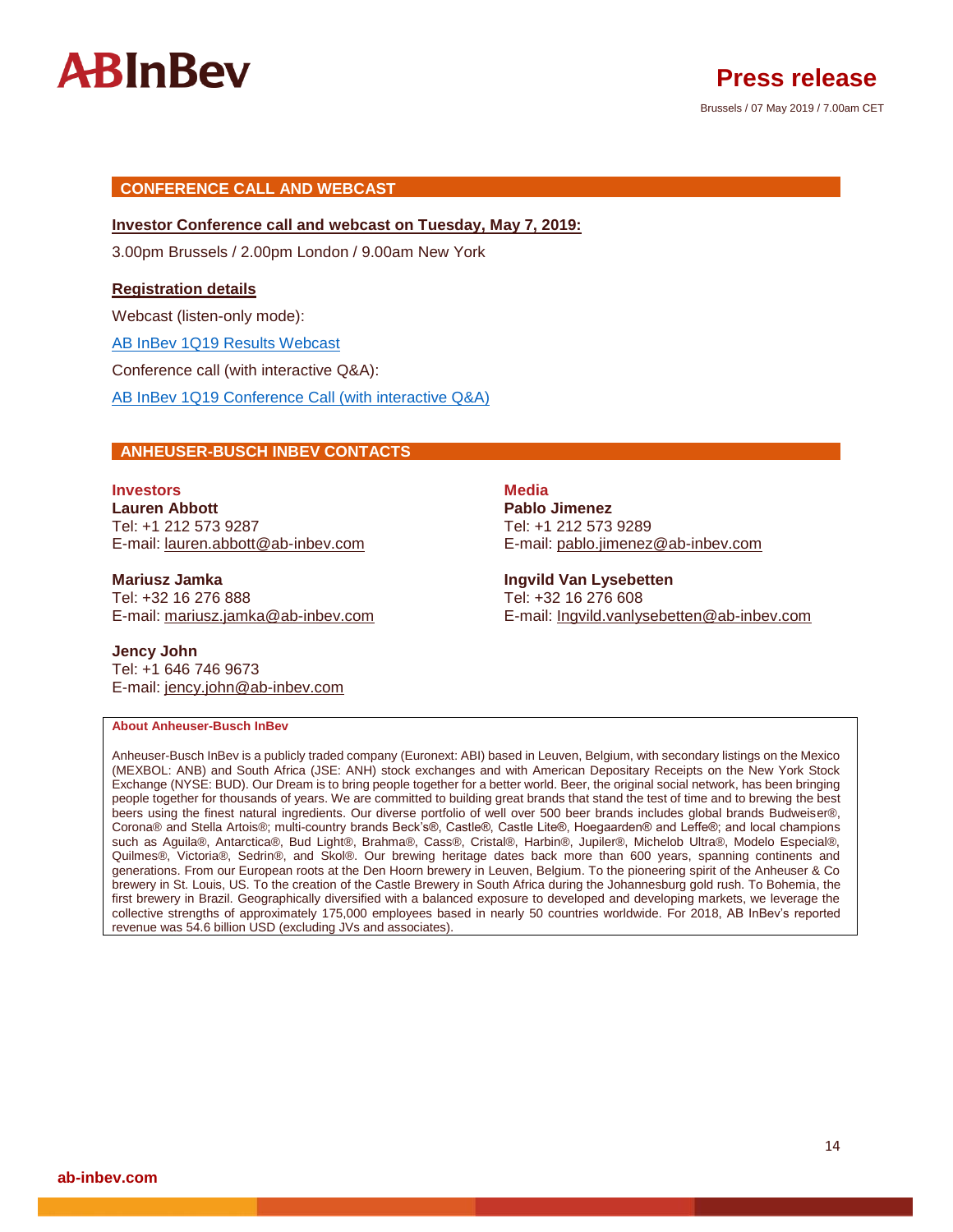

## Brussels / 07 May 2019 / 7.00am CET **Press release**

### **CONFERENCE CALL AND WEBCAST**

#### **Investor Conference call and webcast on Tuesday, May 7, 2019:**

3.00pm Brussels / 2.00pm London / 9.00am New York

#### **Registration details**

Webcast (listen-only mode):

[AB InBev 1Q19 Results Webcast](https://event.on24.com/wcc/r/1851583-1/B0CC87B2DEB4C12EBF6D0349CC26D5FD)

Conference call (with interactive Q&A):

[AB InBev 1Q19 Conference Call \(with interactive Q&A\)](https://urldefense.proofpoint.com/v2/url?u=http-3A__www.directeventreg.com_registration_event_9675428&d=DwMGaQ&c=xbbKDa1CXQMejoORxEnUuQ&r=8HMM_QYJhGI_rfecRDKHGs37w-v4GOQKnSSta172g24&m=w9MPd4ZZvIb80WeeBPjMyvADCbUU8x8BxqzkdQc5WYc&s=H-uTyQGoTkOZO7MlbdG-ZLpCAONQReH44Mc8bFF0St0&e)

#### **ANHEUSER-BUSCH INBEV CONTACTS**

### **Investors Media Lauren Abbott Pablo Jimenez** Tel: +1 212 573 9287 Tel: +1 212 573 9289

**Mariusz Jamka Ingvild Van Lysebetten** Tel: +32 16 276 888 Tel: +32 16 276 608

**Jency John** Tel: +1 646 746 9673 E-mail: [jency.john@ab-inbev.com](mailto:jency.john@ab-inbev.com)

E-mail: [lauren.abbott@ab-inbev.com](mailto:lauren.abbott@ab-inbev.com) E-mail: [pablo.jimenez@ab-inbev.com](mailto:pablo.jimenez@ab-inbev.com)

E-mail: [mariusz.jamka@ab-inbev.com](mailto:mariusz.jamka@ab-inbev.com) E-mail: [Ingvild.vanlysebetten@ab-inbev.com](mailto:Ingvild.vanlysebetten@ab-inbev.com)

#### **About Anheuser-Busch InBev**

Anheuser-Busch InBev is a publicly traded company (Euronext: ABI) based in Leuven, Belgium, with secondary listings on the Mexico (MEXBOL: ANB) and South Africa (JSE: ANH) stock exchanges and with American Depositary Receipts on the New York Stock Exchange (NYSE: BUD). Our Dream is to bring people together for a better world. Beer, the original social network, has been bringing people together for thousands of years. We are committed to building great brands that stand the test of time and to brewing the best beers using the finest natural ingredients. Our diverse portfolio of well over 500 beer brands includes global brands Budweiser®, Corona® and Stella Artois®; multi-country brands Beck's®, Castle®, Castle Lite®, Hoegaarden® and Leffe®; and local champions such as Aguila®, Antarctica®, Bud Light®, Brahma®, Cass®, Cristal®, Harbin®, Jupiler®, Michelob Ultra®, Modelo Especial®, Quilmes®, Victoria®, Sedrin®, and Skol®. Our brewing heritage dates back more than 600 years, spanning continents and generations. From our European roots at the Den Hoorn brewery in Leuven, Belgium. To the pioneering spirit of the Anheuser & Co brewery in St. Louis, US. To the creation of the Castle Brewery in South Africa during the Johannesburg gold rush. To Bohemia, the first brewery in Brazil. Geographically diversified with a balanced exposure to developed and developing markets, we leverage the collective strengths of approximately 175,000 employees based in nearly 50 countries worldwide. For 2018, AB InBev's reported revenue was 54.6 billion USD (excluding JVs and associates).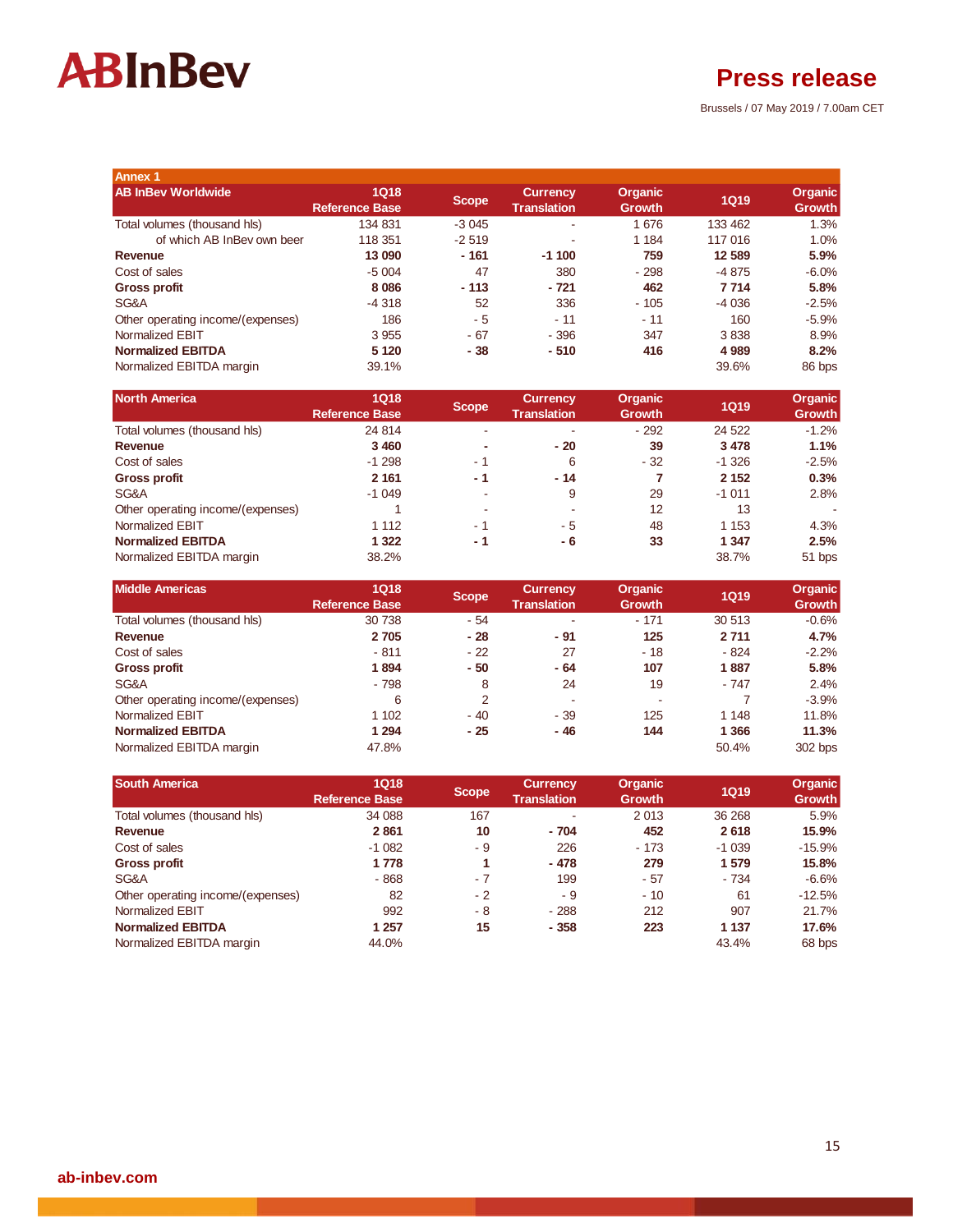## **Press release**

Brussels / 07 May 2019 / 7.00am CET

| <b>Annex 1</b>                    |                                      |         |                                       |                                 |             |                                 |
|-----------------------------------|--------------------------------------|---------|---------------------------------------|---------------------------------|-------------|---------------------------------|
| <b>AB InBey Worldwide</b>         | <b>1Q18</b><br><b>Reference Base</b> | Scope   | <b>Currency</b><br><b>Translation</b> | <b>Organic</b><br><b>Growth</b> | <b>1Q19</b> | <b>Organic</b><br><b>Growth</b> |
| Total volumes (thousand hls)      | 134 831                              | $-3045$ | ٠                                     | 1676                            | 133 462     | 1.3%                            |
| of which AB InBey own beer        | 118 351                              | $-2519$ |                                       | 1 1 8 4                         | 117 016     | 1.0%                            |
| Revenue                           | 13 090                               | - 161   | $-1100$                               | 759                             | 12 589      | 5.9%                            |
| Cost of sales                     | $-5004$                              | 47      | 380                                   | $-298$                          | $-4875$     | $-6.0\%$                        |
| <b>Gross profit</b>               | 8 0 8 6                              | $-113$  | - 721                                 | 462                             | 7 7 1 4     | 5.8%                            |
| SG&A                              | $-4.318$                             | 52      | 336                                   | $-105$                          | $-4036$     | $-2.5%$                         |
| Other operating income/(expenses) | 186                                  | - 5     | $-11$                                 | $-11$                           | 160         | $-5.9%$                         |
| Normalized EBIT                   | 3 9 5 5                              | - 67    | $-396$                                | 347                             | 3838        | 8.9%                            |
| <b>Normalized EBITDA</b>          | 5 1 2 0                              | - 38    | $-510$                                | 416                             | 4 9 8 9     | 8.2%                            |
| Normalized EBITDA margin          | 39.1%                                |         |                                       |                                 | 39.6%       | 86 bps                          |

| <b>North America</b>              | <b>1Q18</b><br><b>Reference Base</b> | Scope / | <b>Currency</b><br><b>Translation</b> | <b>Organic</b><br><b>Growth</b> | <b>1Q19</b> | <b>Organic</b><br><b>Growth</b> |
|-----------------------------------|--------------------------------------|---------|---------------------------------------|---------------------------------|-------------|---------------------------------|
| Total volumes (thousand hls)      | 24 8 14                              | $\sim$  |                                       | $-292$                          | 24 5 22     | $-1.2%$                         |
| Revenue                           | 3 4 6 0                              | ۰       | $-20$                                 | 39                              | 3 4 7 8     | 1.1%                            |
| Cost of sales                     | $-1298$                              | - 1     | 6                                     | $-32$                           | $-1.326$    | $-2.5%$                         |
| <b>Gross profit</b>               | 2 1 6 1                              | - 1     | $-14$                                 | 7                               | 2 1 5 2     | 0.3%                            |
| SG&A                              | $-1049$                              | $\sim$  | 9                                     | 29                              | $-1011$     | 2.8%                            |
| Other operating income/(expenses) |                                      | $\sim$  | ۰.                                    | 12                              | 13          |                                 |
| Normalized EBIT                   | 1 1 1 2                              | $-1$    | - 5                                   | 48                              | 1 1 5 3     | 4.3%                            |
| <b>Normalized EBITDA</b>          | 1 3 2 2                              | - 1     | - 6                                   | 33                              | 1 3 4 7     | 2.5%                            |
| Normalized EBITDA margin          | 38.2%                                |         |                                       |                                 | 38.7%       | 51 bps                          |

| <b>Middle Americas</b>            | <b>1Q18</b><br><b>Reference Base</b> | <b>Scope</b>   | <b>Currency</b><br><b>Translation</b> | <b>Organic</b><br><b>Growth</b> | <b>1Q19</b> | <b>Organic</b><br><b>Growth</b> |
|-----------------------------------|--------------------------------------|----------------|---------------------------------------|---------------------------------|-------------|---------------------------------|
| Total volumes (thousand hls)      | 30 738                               | $-54$          |                                       | $-171$                          | 30 513      | $-0.6%$                         |
| Revenue                           | 2 7 0 5                              | $-28$          | - 91                                  | 125                             | 2711        | 4.7%                            |
| Cost of sales                     | $-811$                               | $-22$          | 27                                    | $-18$                           | $-824$      | $-2.2%$                         |
| <b>Gross profit</b>               | 1894                                 | $-50$          | - 64                                  | 107                             | 1887        | 5.8%                            |
| SG&A                              | $-798$                               | 8              | 24                                    | 19                              | $-747$      | 2.4%                            |
| Other operating income/(expenses) | 6                                    | $\overline{2}$ | ٠                                     | ۰                               |             | $-3.9%$                         |
| Normalized EBIT                   | 1 102                                | $-40$          | $-39$                                 | 125                             | 1 1 4 8     | 11.8%                           |
| <b>Normalized EBITDA</b>          | 1 294                                | $-25$          | - 46                                  | 144                             | 1 3 6 6     | 11.3%                           |
| Normalized EBITDA margin          | 47.8%                                |                |                                       |                                 | 50.4%       | 302 bps                         |

| <b>South America</b>              | <b>1Q18</b>           | <b>Scope</b> | <b>Currency</b>    | <b>Organic</b> | <b>1Q19</b> | <b>Organic</b> |
|-----------------------------------|-----------------------|--------------|--------------------|----------------|-------------|----------------|
|                                   | <b>Reference Base</b> |              | <b>Translation</b> | <b>Growth</b>  |             | <b>Growth</b>  |
| Total volumes (thousand hls)      | 34 088                | 167          |                    | 2013           | 36 268      | 5.9%           |
| Revenue                           | 2861                  | 10           | $-704$             | 452            | 2618        | 15.9%          |
| Cost of sales                     | $-1082$               | - 9          | 226                | $-173$         | $-1039$     | $-15.9%$       |
| Gross profit                      | 1 7 7 8               |              | $-478$             | 279            | 1 579       | 15.8%          |
| SG&A                              | $-868$                | $-7$         | 199                | $-57$          | $-734$      | $-6.6%$        |
| Other operating income/(expenses) | 82                    | $-2$         | - 9                | $-10$          | 61          | $-12.5%$       |
| Normalized EBIT                   | 992                   | - 8          | $-288$             | 212            | 907         | 21.7%          |
| <b>Normalized EBITDA</b>          | 1 257                 | 15           | $-358$             | 223            | 1 1 3 7     | 17.6%          |
| Normalized EBITDA margin          | 44.0%                 |              |                    |                | 43.4%       | 68 bps         |